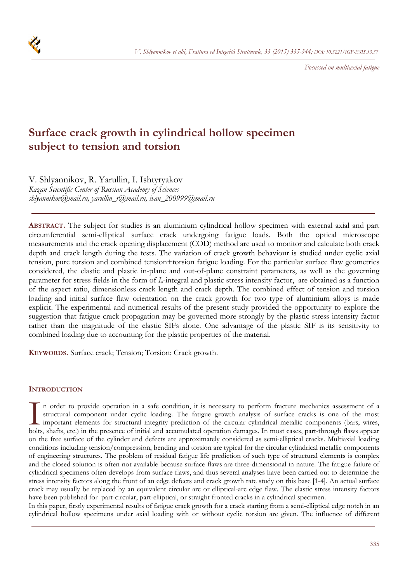

*Focussed on multiaxial fatigue* 

# **Surface crack growth in cylindrical hollow specimen subject to tension and torsion**

V. Shlyannikov, R. Yarullin, I. Ishtyryakov *Kazan Scientific Center of Russian Academy of Sciences shlyannikov@mail.ru, yarullin\_r@mail.ru, ivan\_200999@mail.ru* 

**ABSTRACT.** The subject for studies is an aluminium cylindrical hollow specimen with external axial and part circumferential semi-elliptical surface crack undergoing fatigue loads. Both the optical microscope measurements and the crack opening displacement (COD) method are used to monitor and calculate both crack depth and crack length during the tests. The variation of crack growth behaviour is studied under cyclic axial tension, pure torsion and combined tension+torsion fatigue loading. For the particular surface flaw geometries considered, the elastic and plastic in-plane and out-of-plane constraint parameters, as well as the governing parameter for stress fields in the form of *In*-integral and plastic stress intensity factor, are obtained as a function of the aspect ratio, dimensionless crack length and crack depth. The combined effect of tension and torsion loading and initial surface flaw orientation on the crack growth for two type of aluminium alloys is made explicit. The experimental and numerical results of the present study provided the opportunity to explore the suggestion that fatigue crack propagation may be governed more strongly by the plastic stress intensity factor rather than the magnitude of the elastic SIFs alone. One advantage of the plastic SIF is its sensitivity to combined loading due to accounting for the plastic properties of the material.

**KEYWORDS.** Surface crack; Tension; Torsion; Crack growth.

# **INTRODUCTION**

n order to provide operation in a safe condition, it is necessary to perform fracture mechanics assessment of a structural component under cyclic loading. The fatigue growth analysis of surface cracks is one of the most important elements for structural integrity prediction of the circular cylindrical metallic components (bars, wires, In order to provide operation in a safe condition, it is necessary to perform fracture mechanics assessment of a structural component under cyclic loading. The fatigue growth analysis of surface cracks is one of the most i on the free surface of the cylinder and defects are approximately considered as semi-elliptical cracks. Multiaxial loading conditions including tension/compression, bending and torsion are typical for the circular cylindrical metallic components of engineering structures. The problem of residual fatigue life prediction of such type of structural elements is complex and the closed solution is often not available because surface flaws are three-dimensional in nature. The fatigue failure of cylindrical specimens often develops from surface flaws, and thus several analyses have been carried out to determine the stress intensity factors along the front of an edge defects and crack growth rate study on this base [1-4]. An actual surface crack may usually be replaced by an equivalent circular arc or elliptical-arc edge flaw. The elastic stress intensity factors have been published for part-circular, part-elliptical, or straight fronted cracks in a cylindrical specimen.

In this paper, firstly experimental results of fatigue crack growth for a crack starting from a semi-elliptical edge notch in an cylindrical hollow specimens under axial loading with or without cyclic torsion are given. The influence of different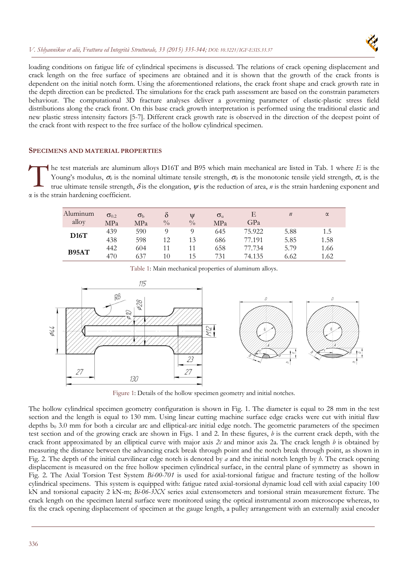

loading conditions on fatigue life of cylindrical specimens is discussed. The relations of crack opening displacement and crack length on the free surface of specimens are obtained and it is shown that the growth of the crack fronts is dependent on the initial notch form. Using the aforementioned relations, the crack front shape and crack growth rate in the depth direction can be predicted. The simulations for the crack path assessment are based on the constrain parameters behaviour. The computational 3D fracture analyses deliver a governing parameter of elastic-plastic stress field distributions along the crack front. On this base crack growth interpretation is performed using the traditional elastic and new plastic stress intensity factors [5-7]. Different crack growth rate is observed in the direction of the deepest point of the crack front with respect to the free surface of the hollow cylindrical specimen.

# **SPECIMENS AND MATERIAL PROPERTIES**

he test materials are aluminum alloys D16T and B95 which main mechanical are listed in Tab. 1 where *E* is the Young's modulus,  $\sigma_{\ell}$  is the nominal ultimate tensile strength,  $\sigma_{\ell}$  is the monotonic tensile yield strength,  $\sigma_{\ell}$  is the true ultimate tensile strength,  $\delta$  is the elongation,  $\psi$  is the reduction of area, *n* is the strain hardening exponent and α is the strain hardening coefficient.  $\prod_{\text{tr}}^{\text{he}}$ 

| Aluminum<br>alloy | $\sigma_{0.2}$<br>MPa | $\sigma_{\rm b}$<br>MPa | δ<br>$\frac{0}{0}$ | Ψ<br>$\frac{0}{0}$ | $\sigma_{\rm u}$<br>MPa | F<br>GPa         | $\boldsymbol{n}$ | $\alpha$     |
|-------------------|-----------------------|-------------------------|--------------------|--------------------|-------------------------|------------------|------------------|--------------|
| D16T              | 439<br>438            | 590<br>598              | 12                 | 13                 | 645<br>686              | 75.922<br>77.191 | 5.88<br>5.85     | 1.5<br>1.58  |
| B95AT             | 442<br>470            | 604<br>637              | 10                 | 11<br>15           | 658<br>731              | 77.734<br>74.135 | 5.79<br>6.62     | 1.66<br>1.62 |

Table 1: Main mechanical properties of aluminum alloys.



Figure 1: Details of the hollow specimen geometry and initial notches.

The hollow cylindrical specimen geometry configuration is shown in Fig. 1. The diameter is equal to 28 mm in the test section and the length is equal to 130 mm. Using linear cutting machine surface edge cracks were cut with initial flaw depths  $b_0$  3.0 mm for both a circular arc and elliptical-arc initial edge notch. The geometric parameters of the specimen test section and of the growing crack are shown in Figs. 1 and 2. In these figures, *b* is the current crack depth, with the crack front approximated by an elliptical curve with major axis *2c* and minor axis 2a. The crack length *b* is obtained by measuring the distance between the advancing crack break through point and the notch break through point, as shown in Fig. 2. The depth of the initial curvilinear edge notch is denoted by *a* and the initial notch length by *h*. The crack opening displacement is measured on the free hollow specimen cylindrical surface, in the central plane of symmetry as shown in Fig. 2. The Axial Torsion Test System *Bi-00-701* is used for axial-torsional fatigue and fracture testing of the hollow cylindrical specimens. This system is equipped with: fatigue rated axial-torsional dynamic load cell with axial capacity 100 kN and torsional capacity 2 kN-m; *Bi-06-3XX* series axial extensometers and torsional strain measurement fixture. The crack length on the specimen lateral surface were monitored using the optical instrumental zoom microscope whereas, to fix the crack opening displacement of specimen at the gauge length, a pulley arrangement with an externally axial encoder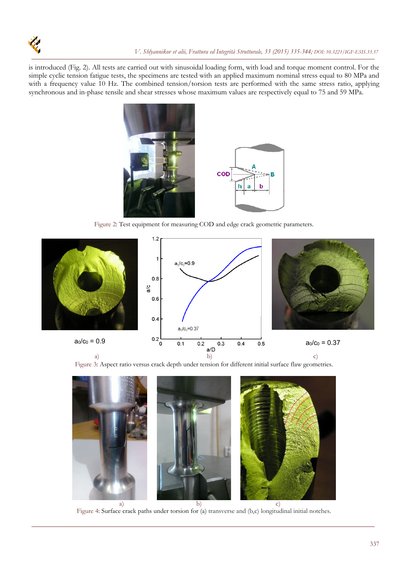

is introduced (Fig. 2). All tests are carried out with sinusoidal loading form, with load and torque moment control. For the simple cyclic tension fatigue tests, the specimens are tested with an applied maximum nominal stress equal to 80 MPa and with a frequency value 10 Hz. The combined tension/torsion tests are performed with the same stress ratio, applying synchronous and in-phase tensile and shear stresses whose maximum values are respectively equal to 75 and 59 MPa.



Figure 2: Test equipment for measuring COD and edge crack geometric parameters.







Figure 4: Surface crack paths under torsion for (a) transverse and (b,c) longitudinal initial notches.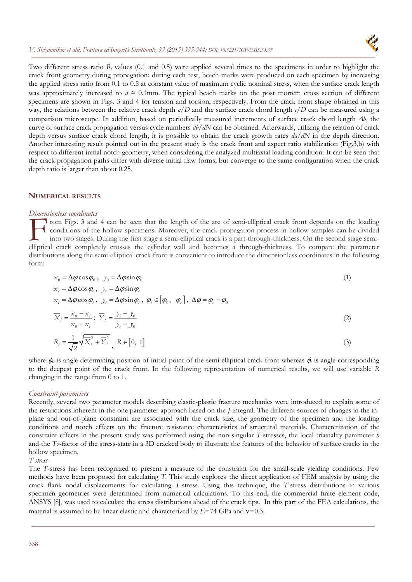

Two different stress ratio  $R_f$  values (0.1 and 0.5) were applied several times to the specimens in order to highlight the crack front geometry during propagation: during each test, beach marks were produced on each specimen by increasing the applied stress ratio from 0.1 to 0.5 at constant value of maximum cyclic nominal stress, when the surface crack length was approximately increased to  $a \approx 0.1$ mm. The typical beach marks on the post mortem cross section of different specimens are shown in Figs. 3 and 4 for tension and torsion, respectively. From the crack front shape obtained in this way, the relations between the relative crack depth *a/D* and the surface crack chord length *c/D* can be measured using a comparison microscope. In addition, based on periodically measured increments of surface crack chord length  $\Delta b$ , the curve of surface crack propagation versus cycle numbers *db/dN* can be obtained. Afterwards, utilizing the relation of crack depth versus surface crack chord length, it is possible to obtain the crack growth rates *da/dN* in the depth direction. Another interesting result pointed out in the present study is the crack front and aspect ratio stabilization (Fig.3,b) with respect to different initial notch geometry, when considering the analyzed multiaxial loading condition. It can be seen that the crack propagation paths differ with diverse initial flaw forms, but converge to the same configuration when the crack depth ratio is larger than about 0.25.

## **NUMERICAL RESULTS**

#### *Dimensionless coordinates*

rom Figs. 3 and 4 can be seen that the length of the arc of semi-elliptical crack front depends on the loading conditions of the hollow specimens. Moreover, the crack propagation process in hollow samples can be divided into two stages. During the first stage a semi-elliptical crack is a part-through-thickness. On the second stage semi-From Figs. 3 and 4 can be seen that the length of the arc of semi-elliptical crack front depends on the loading<br>
conditions of the hollow specimens. Moreover, the crack propagation process in hollow samples can be divided<br> distributions along the semi-elliptical crack front is convenient to introduce the dimensionless coordinates in the following form:

$$
x_0 = \Delta \varphi \cos \varphi_0, \quad y_0 = \Delta \varphi \sin \varphi_0
$$
  

$$
x_0 = \Delta \varphi \cos \varphi_0, \quad y_0 = \Delta \varphi \sin \varphi_0
$$
 (1)

 $x_i = \Delta \varphi \cos \varphi_i$ ,  $y_i = \Delta \varphi \sin \varphi_i$ ,  $\varphi_i \in [\varphi_0, \varphi_0]$ ,  $\Delta \varphi = \varphi_0 - \varphi_0$ 

$$
\overline{X}_i = \frac{x_0 - x_i}{x_0 - x_c}; \ \overline{Y}_i = \frac{y_i - y_0}{y_c - y_0}
$$
\n<sup>(2)</sup>

$$
R_i = \frac{1}{\sqrt{2}} \sqrt{\overline{X}_i^2 + \overline{Y}_i^2}, \quad R \in [0, 1]
$$

where  $\phi_0$  is angle determining position of initial point of the semi-elliptical crack front whereas  $\phi_c$  is angle corresponding to the deepest point of the crack front. In the following representation of numerical results, we will use variable *R* changing in the range from 0 to 1.

#### *Constraint parameters*

Recently, several two parameter models describing elastic-plastic fracture mechanics were introduced to explain some of the restrictions inherent in the one parameter approach based on the *J*-integral. The different sources of changes in the inplane and out-of-plane constraint are associated with the crack size, the geometry of the specimen and the loading conditions and notch effects on the fracture resistance characteristics of structural materials. Characterization of the constraint effects in the present study was performed using the non-singular *T*-stresses, the local triaxiality parameter *h* and the *TZ*-factor of the stress-state in a 3D cracked body to illustrate the features of the behavior of surface cracks in the hollow specimen.

#### *T-stress*

The *T*-stress has been recognized to present a measure of the constraint for the small-scale yielding conditions. Few methods have been proposed for calculating *T*. This study explores the direct application of FEM analysis by using the crack flank nodal displacements for calculating *T*-stress. Using this technique, the *T*-stress distributions in various specimen geometries were determined from numerical calculations. To this end, the commercial finite element code, ANSYS [8], was used to calculate the stress distributions ahead of the crack tips. In this part of the FEA calculations, the material is assumed to be linear elastic and characterized by  $E=74$  GPa and  $v=0.3$ .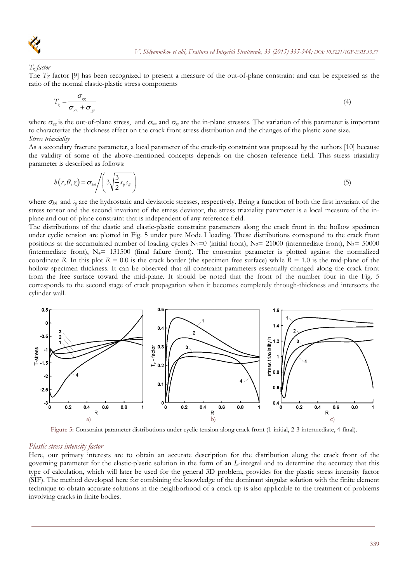

*Tz-factor* 

The *TZ* factor [9] has been recognized to present a measure of the out-of-plane constraint and can be expressed as the ratio of the normal elastic-plastic stress components

$$
T_z = \frac{\sigma_{zz}}{\sigma_{xx} + \sigma_{yy}}
$$
\n(4)

where  $\sigma_{zz}$  is the out-of-plane stress, and  $\sigma_{xx}$  and  $\sigma_{yy}$  are the in-plane stresses. The variation of this parameter is important to characterize the thickness effect on the crack front stress distribution and the changes of the plastic zone size. *Stress triaxiality*

As a secondary fracture parameter, a local parameter of the crack-tip constraint was proposed by the authors [10] because the validity of some of the above-mentioned concepts depends on the chosen reference field. This stress triaxiality parameter is described as follows:

$$
b(r,\theta,z) = \sigma_{kk} \left( 3 \sqrt{\frac{3}{2} s_{ij} s_{ij}} \right)
$$
 (5)

where  $\sigma_{kk}$  and  $s_{ij}$  are the hydrostatic and deviatoric stresses, respectively. Being a function of both the first invariant of the stress tensor and the second invariant of the stress deviator, the stress triaxiality parameter is a local measure of the inplane and out-of-plane constraint that is independent of any reference field.

The distributions of the elastic and elastic-plastic constraint parameters along the crack front in the hollow specimen under cyclic tension are plotted in Fig. 5 under pure Mode I loading. These distributions correspond to the crack front positions at the accumulated number of loading cycles  $N_1=0$  (initial front),  $N_2= 21000$  (intermediate front),  $N_3= 50000$ (intermediate front),  $N_4$  = 131500 (final failure front). The constraint parameter is plotted against the normalized coordinate *R*. In this plot  $R = 0.0$  is the crack border (the specimen free surface) while  $R = 1.0$  is the mid-plane of the hollow specimen thickness. It can be observed that all constraint parameters essentially changed along the crack front from the free surface toward the mid-plane. It should be noted that the front of the number four in the Fig. 5 corresponds to the second stage of crack propagation when it becomes completely through-thickness and intersects the cylinder wall.



Figure 5: Constraint parameter distributions under cyclic tension along crack front (1-initial, 2-3-intermediate, 4-final).

#### *Plastic stress intensity factor*

Here, our primary interests are to obtain an accurate description for the distribution along the crack front of the governing parameter for the elastic-plastic solution in the form of an *In*-integral and to determine the accuracy that this type of calculation, which will later be used for the general 3D problem, provides for the plastic stress intensity factor (SIF). The method developed here for combining the knowledge of the dominant singular solution with the finite element technique to obtain accurate solutions in the neighborhood of a crack tip is also applicable to the treatment of problems involving cracks in finite bodies.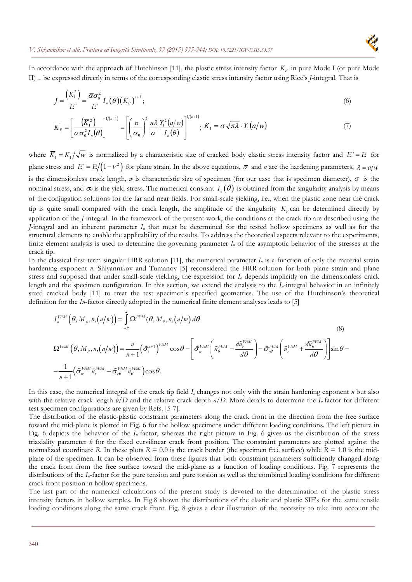

In accordance with the approach of Hutchinson [11], the plastic stress intensity factor  $K_p$  in pure Mode I (or pure Mode II) can be expressed directly in terms of the corresponding elastic stress intensity factor using Rice's *J*-integral. That is

$$
J = \frac{\left(K_1^2\right)}{E'} = \frac{\overline{\alpha}\sigma_0^2}{E'} I_n(\theta) \left(K_p\right)^{n+1};\tag{6}
$$

$$
\overline{K}_P = \left[ \frac{\left( \overline{K}_1^2 \right)}{\overline{\alpha} \sigma_0^2 I_n(\theta)} \right]^{1/(n+1)} = \left[ \left( \frac{\sigma}{\sigma_0} \right)^2 \frac{\pi \lambda}{\overline{\alpha}} \frac{Y_1^2 \left( a/w \right)}{I_n(\theta)} \right]^{1/(n+1)}; \ \overline{K}_1 = \sigma \sqrt{\pi \lambda} \cdot Y_1 \left( a/w \right) \tag{7}
$$

where  $\overline{K}_1 = K_1 / \sqrt{w}$  is normalized by a characteristic size of cracked body elastic stress intensity factor and  $E' = E$  for plane stress and  $E' = E/(1 - v^2)$  for plane strain. In the above equations,  $\overline{\alpha}$  and *n* are the hardening parameters,  $\lambda = a/w$ is the dimensionless crack length,  $w$  is characteristic size of specimen (for our case that is specimen diameter),  $\sigma$  is the nominal stress, and  $\sigma_{\theta}$  is the yield stress. The numerical constant  $I_n(\theta)$  is obtained from the singularity analysis by means of the conjugation solutions for the far and near fields. For small-scale yielding, i.e., when the plastic zone near the crack tip is quite small compared with the crack length, the amplitude of the singularity  $\bar{K}_p$  can be determined directly by application of the *J*-integral. In the framework of the present work, the conditions at the crack tip are described using the *J*-integral and an inherent parameter  $I_n$  that must be determined for the tested hollow specimens as well as for the structural elements to enable the applicability of the results. To address the theoretical aspects relevant to the experiments, finite element analysis is used to determine the governing parameter *In* of the asymptotic behavior of the stresses at the crack tip.

In the classical first-term singular HRR-solution [11], the numerical parameter *In* is a function of only the material strain hardening exponent *n*. Shlyannikov and Tumanov [5] reconsidered the HRR-solution for both plane strain and plane stress and supposed that under small-scale yielding, the expression for *In* depends implicitly on the dimensionless crack length and the specimen configuration. In this section, we extend the analysis to the  $I_n$ -integral behavior in an infinitely sized cracked body [11] to treat the test specimen's specified geometries. The use of the Hutchinson's theoretical definition for the *In*-factor directly adopted in the numerical finite element analyses leads to [5]

$$
I_{n}^{FEM}(\theta, M_{p}, n, (a/w)) = \int_{-\pi}^{\pi} \Omega^{FEM}(\theta, M_{p}, n, (a/w)) d\theta
$$
\n
$$
\Omega^{FEM}(\theta, M_{p}, n, (a/w)) = \frac{n}{n+1} (\tilde{\sigma}_{e}^{n+1})^{FEM} \cos \theta - \left[ \tilde{\sigma}_{n}^{FEM} \left( \tilde{u}_{\theta}^{FEM} - \frac{d\tilde{u}_{r}^{FEM}}{d\theta} \right) - \tilde{\sigma}_{r\theta}^{FEM} \left( \tilde{u}_{r}^{FEM} + \frac{d\tilde{u}_{\theta}^{FEM}}{d\theta} \right) \right] \sin \theta - \frac{1}{n+1} (\tilde{\sigma}_{n}^{FEM} \tilde{u}_{r}^{FEM} + \tilde{\sigma}_{r\theta}^{FEM} \tilde{u}_{\theta}^{FEM}) \cos \theta.
$$
\n(8)

In this case, the numerical integral of the crack tip field *In* changes not only with the strain hardening exponent *n* but also with the relative crack length *b/D* and the relative crack depth *a/D*. More details to determine the *In* factor for different test specimen configurations are given by Refs. [5-7].

The distribution of the elastic-plastic constraint parameters along the crack front in the direction from the free surface toward the mid-plane is plotted in Fig. 6 for the hollow specimens under different loading conditions. The left picture in Fig. 6 depicts the behavior of the *In*-factor, whereas the right picture in Fig. 6 gives us the distribution of the stress triaxiality parameter *h* for the fixed curvilinear crack front position. The constraint parameters are plotted against the normalized coordinate *R*. In these plots  $R = 0.0$  is the crack border (the specimen free surface) while  $R = 1.0$  is the midplane of the specimen. It can be observed from these figures that both constraint parameters sufficiently changed along the crack front from the free surface toward the mid-plane as a function of loading conditions. Fig. 7 represents the distributions of the *In*-factor for the pure tension and pure torsion as well as the combined loading conditions for different crack front position in hollow specimens.

The last part of the numerical calculations of the present study is devoted to the determination of the plastic stress intensity factors in hollow samples. In Fig.8 shown the distributions of the elastic and plastic SIF's for the same tensile loading conditions along the same crack front. Fig. 8 gives a clear illustration of the necessity to take into account the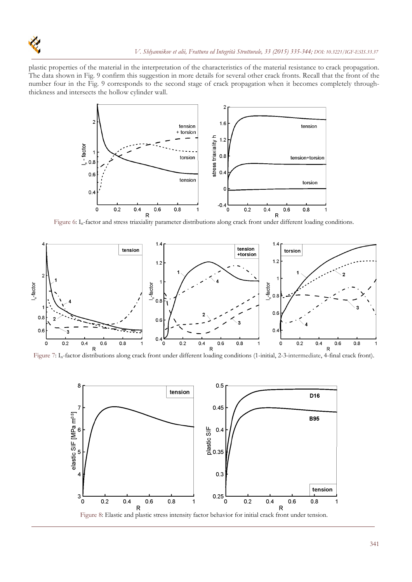

plastic properties of the material in the interpretation of the characteristics of the material resistance to crack propagation. The data shown in Fig. 9 confirm this suggestion in more details for several other crack fronts. Recall that the front of the number four in the Fig. 9 corresponds to the second stage of crack propagation when it becomes completely throughthickness and intersects the hollow cylinder wall.



R<br>Figure 6: I<sub>n</sub>-factor and stress triaxiality parameter distributions along crack front under different loading conditions.



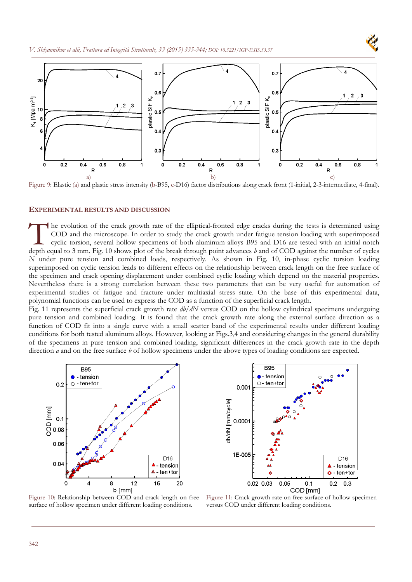



Figure 9: Elastic (a) and plastic stress intensity (b-B95, c-D16) factor distributions along crack front (1-initial, 2-3-intermediate, 4-final).

#### **EXPERIMENTAL RESULTS AND DISCUSSION**

he evolution of the crack growth rate of the elliptical-fronted edge cracks during the tests is determined using COD and the microscope. In order to study the crack growth under fatigue tension loading with superimposed cyclic torsion, several hollow specimens of both aluminum alloys B95 and D16 are tested with an initial notch The evolution of the crack growth rate of the elliptical-fronted edge cracks during the tests is determined using COD and the microscope. In order to study the crack growth under fatigue tension loading with superimposed c *N* under pure tension and combined loads, respectively. As shown in Fig. 10, in-phase cyclic torsion loading superimposed on cyclic tension leads to different effects on the relationship between crack length on the free surface of the specimen and crack opening displacement under combined cyclic loading which depend on the material properties. Nevertheless there is a strong correlation between these two parameters that can be very useful for automation of experimental studies of fatigue and fracture under multiaxial stress state. On the base of this experimental data, polynomial functions can be used to express the COD as a function of the superficial crack length.

Fig. 11 represents the superficial crack growth rate *db/dN* versus COD on the hollow cylindrical specimens undergoing pure tension and combined loading. It is found that the crack growth rate along the external surface direction as a function of COD fit into a single curve with a small scatter band of the experimental results under different loading conditions for both tested aluminum alloys. However, looking at Figs.3,4 and considering changes in the general durability of the specimens in pure tension and combined loading, significant differences in the crack growth rate in the depth direction *a* and on the free surface *b* of hollow specimens under the above types of loading conditions are expected.





Figure 10: Relationship between COD and crack length on free surface of hollow specimen under different loading conditions.

Figure 11: Crack growth rate on free surface of hollow specimen versus COD under different loading conditions.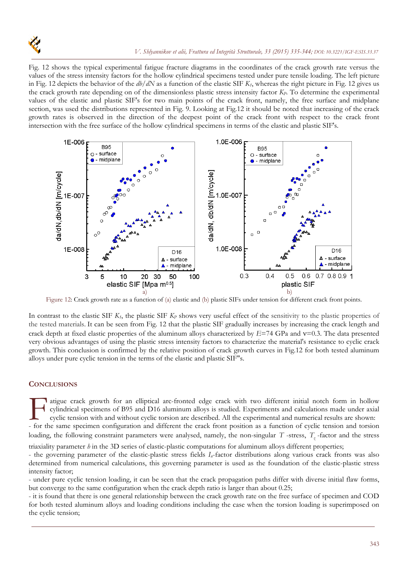

Fig. 12 shows the typical experimental fatigue fracture diagrams in the coordinates of the crack growth rate versus the values of the stress intensity factors for the hollow cylindrical specimens tested under pure tensile loading. The left picture in Fig. 12 depicts the behavior of the *db/dN* as a function of the elastic SIF *K1*, whereas the right picture in Fig. 12 gives us the crack growth rate depending on of the dimensionless plastic stress intensity factor *KP*. To determine the experimental values of the elastic and plastic SIF's for two main points of the crack front, namely, the free surface and midplane section, was used the distributions represented in Fig. 9. Looking at Fig.12 it should be noted that increasing of the crack growth rates is observed in the direction of the deepest point of the crack front with respect to the crack front intersection with the free surface of the hollow cylindrical specimens in terms of the elastic and plastic SIF's.



Figure 12: Crack growth rate as a function of (a) elastic and (b) plastic SIFs under tension for different crack front points.

In contrast to the elastic SIF  $K_t$ , the plastic SIF  $K_P$  shows very useful effect of the sensitivity to the plastic properties of the tested materials. It can be seen from Fig. 12 that the plastic SIF gradually increases by increasing the crack length and crack depth at fixed elastic properties of the aluminum alloys characterized by  $E=74$  GPa and  $v=0.3$ . The data presented very obvious advantages of using the plastic stress intensity factors to characterize the material's resistance to cyclic crack growth. This conclusion is confirmed by the relative position of crack growth curves in Fig.12 for both tested aluminum alloys under pure cyclic tension in the terms of the elastic and plastic SIF"s.

## **CONCLUSIONS**

I atigue crack growth for an elliptical arc-fronted edge crack with two different initial notch form in hollow cylindrical specimens of B95 and D16 aluminum alloys is studied. Experiments and calculations made under axial cyclic tension with and without cyclic torsion are described. All the experimental and numerical results are shown: atigue crack growth for an elliptical arc-fronted edge crack with two different initial notch form in hollow cylindrical specimens of B95 and D16 aluminum alloys is studied. Experiments and calculations made under axial cy

loading, the following constraint parameters were analysed, namely, the non-singular *T* -stress, *T<sub>z</sub>*-factor and the stress

triaxiality parameter *h* in the 3D series of elastic-plastic computations for aluminum alloys different properties;

- the governing parameter of the elastic-plastic stress fields *In*-factor distributions along various crack fronts was also determined from numerical calculations, this governing parameter is used as the foundation of the elastic-plastic stress intensity factor;

- under pure cyclic tension loading, it can be seen that the crack propagation paths differ with diverse initial flaw forms, but converge to the same configuration when the crack depth ratio is larger than about 0.25;

- it is found that there is one general relationship between the crack growth rate on the free surface of specimen and COD for both tested aluminum alloys and loading conditions including the case when the torsion loading is superimposed on the cyclic tension;